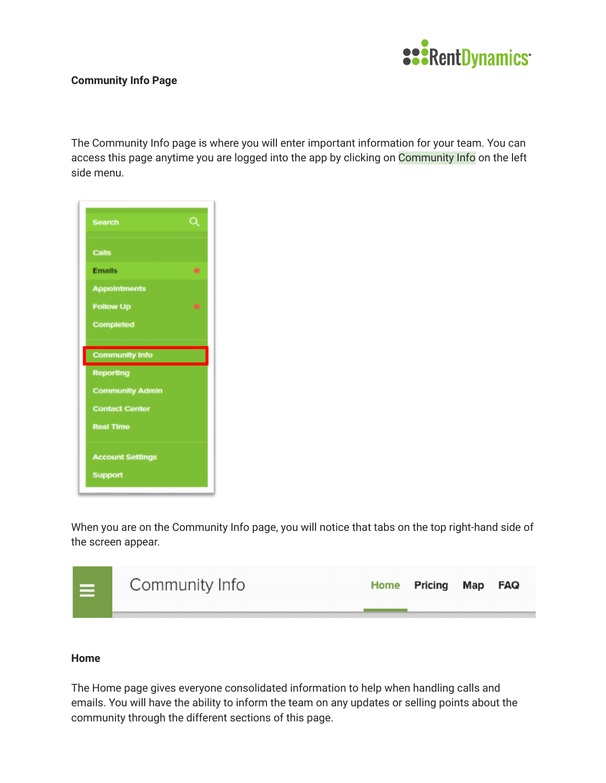

## **Community Info Page**

The Community Info page is where you will enter important information for your team. You can access this page anytime you are logged into the app by clicking on Community Info on the left side menu.



When you are on the Community Info page, you will notice that tabs on the top right-hand side of the screen appear.



#### **Home**

The Home page gives everyone consolidated information to help when handling calls and emails. You will have the ability to inform the team on any updates or selling points about the community through the different sections of this page.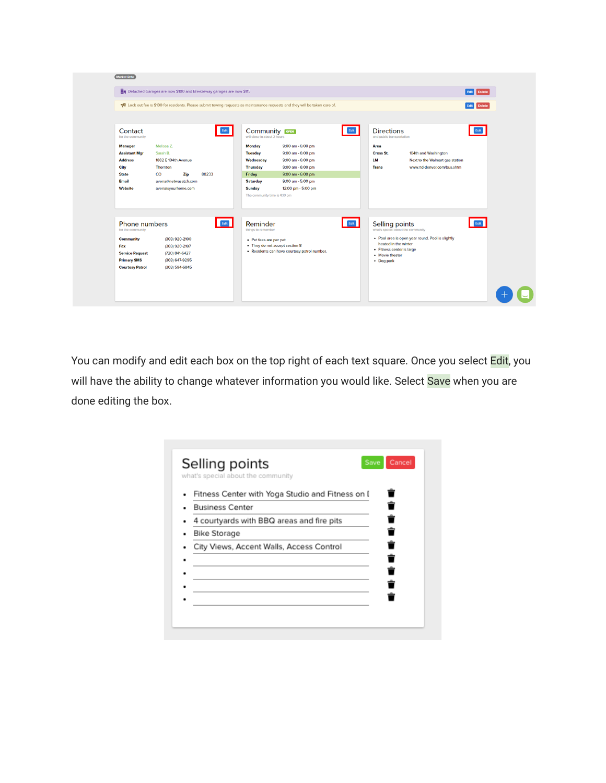

You can modify and edit each box on the top right of each text square. Once you select Edit, you will have the ability to change whatever information you would like. Select Save when you are done editing the box.

| Fitness Center with Yoga Studio and Fitness on I<br><b>Business Center</b><br>4 courtyards with BBQ areas and fire pits<br><b>Bike Storage</b><br>City Views, Accent Walls, Access Control | Selling points<br>Save<br>what's special about the community | Cancel |
|--------------------------------------------------------------------------------------------------------------------------------------------------------------------------------------------|--------------------------------------------------------------|--------|
|                                                                                                                                                                                            |                                                              |        |
|                                                                                                                                                                                            |                                                              |        |
|                                                                                                                                                                                            |                                                              |        |
|                                                                                                                                                                                            |                                                              |        |
|                                                                                                                                                                                            |                                                              |        |
|                                                                                                                                                                                            |                                                              |        |
|                                                                                                                                                                                            |                                                              |        |
|                                                                                                                                                                                            |                                                              |        |
|                                                                                                                                                                                            |                                                              |        |
|                                                                                                                                                                                            |                                                              |        |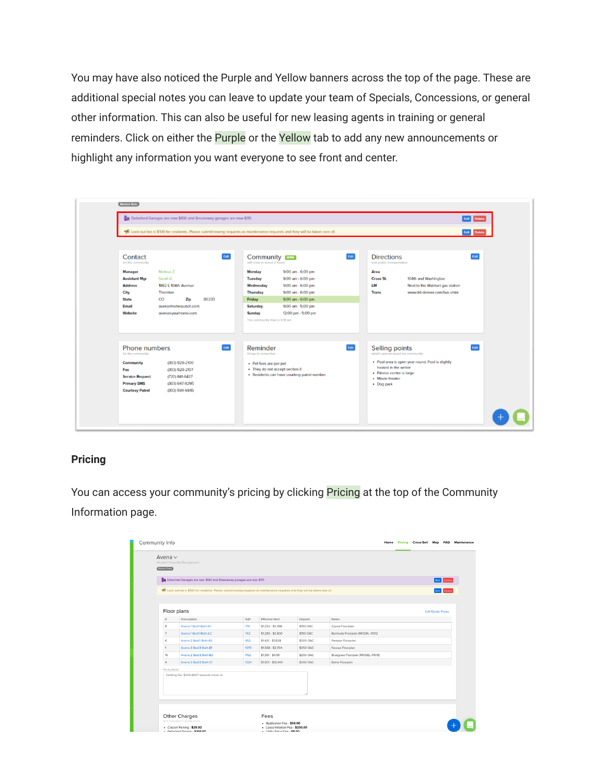You may have also noticed the Purple and Yellow banners across the top of the page. These are additional special notes you can leave to update your team of Specials, Concessions, or general other information. This can also be useful for new leasing agents in training or general reminders. Click on either the Purple or the Yellow tab to add any new announcements or highlight any information you want everyone to see front and center.



## **Pricing**

You can access your community's pricing by clicking Pricing at the top of the Community Information page.

|                      | Fin Detached Garages are now \$100 and Breezeway garages are now \$115                                                       |      |                    |           |                                   | Edit Delete              |
|----------------------|------------------------------------------------------------------------------------------------------------------------------|------|--------------------|-----------|-----------------------------------|--------------------------|
|                      | * Lock out fee is \$100 for residents. Please submit towing requests as maintenance requests and they will be taken care of. |      |                    |           |                                   | Edit Delete              |
|                      |                                                                                                                              |      |                    |           |                                   |                          |
|                      | Floor plans                                                                                                                  |      |                    |           |                                   | <b>Edit Quote Prices</b> |
| ø                    | Description                                                                                                                  | Saft | Effective Rent     | Deposit   | Notes                             |                          |
| $^{\rm 8}$           | Avena 1 Bed/1 Bath-A1                                                                                                        | 719  | $$1,253 - $3,496$  | \$150 OAC | Zoysia Floorplan                  |                          |
| $\overline{7}$       | Avena 1 Bed/1 Bath-A2                                                                                                        | 742  | $$1,283 - $3,800$  | \$150 OAC | Bermuda Floorplan (MODEL #1012    |                          |
| $\circ$              | Avena 2 Bed/1 Bath-A3                                                                                                        | 952  | \$1,421 - \$7,628  | \$200 OAC | Pampas Floorplan                  |                          |
| $\ddot{\phantom{1}}$ | Avena 2 Bed/2 Bath-B1                                                                                                        | 1073 | $$1.568 - $2.704$  | \$250 OAC | Fescue Floorplan                  |                          |
| 10                   | Avena 2 Bed/2 Bath-B2                                                                                                        | 1162 | \$1,591 - \$4,181  | \$250 OAC | Bluegrass Floorplan (MODEL #1013) |                          |
| $\overline{4}$       | Avena 3 Bed/2 Bath-C1                                                                                                        | 1324 | \$1,901 - \$12,440 | \$300 OAC | Bahia Floorplan                   |                          |
| Pricing Notes        |                                                                                                                              |      |                    |           |                                   |                          |
|                      | Holding fee: \$200 (NOT towards move in)                                                                                     |      |                    |           |                                   |                          |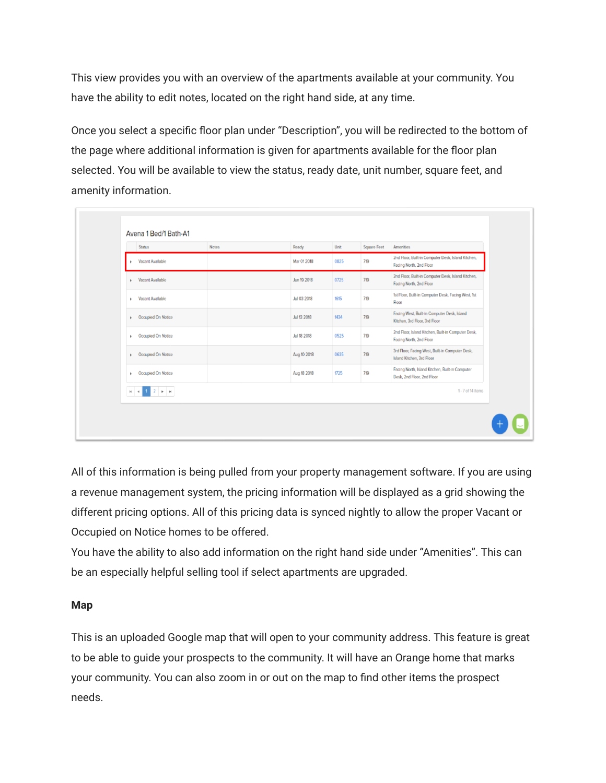This view provides you with an overview of the apartments available at your community. You have the ability to edit notes, located on the right hand side, at any time.

Once you select a specific floor plan under "Description", you will be redirected to the bottom of the page where additional information is given for apartments available for the floor plan selected. You will be available to view the status, ready date, unit number, square feet, and amenity information.

|              | Status                            | <b>Notes</b> | Ready       | Unit | <b>Square Feet</b> | Amenities                                                                     |
|--------------|-----------------------------------|--------------|-------------|------|--------------------|-------------------------------------------------------------------------------|
|              | Vacant Available                  |              | Mar 01 2018 | 0825 | 719                | 2nd Floor, Built-in Computer Desk, Island Kitchen,<br>Facing North, 2nd Floor |
|              | Vacant Available                  |              | Jun 19 2018 | 0725 | 719                | 2nd Floor, Built-in Computer Desk, Island Kitchen,<br>Facing North, 2nd Floor |
|              | Vacant Available                  |              | Jul 03 2018 | 1615 | 719                | 1st Floor, Built-in Computer Desk, Facing West, 1st<br>Floor                  |
|              | Dccupied On Notice                |              | Jul 13 2018 | 1434 | 719                | Facing West, Built-In Computer Desk, Island<br>Kitchen, 3rd Floor, 3rd Floor  |
| ٠            | Occupied On Notice                |              | Jul 18 2018 | 0525 | 719                | 2nd Floor, Island Kitchen, Built-in Computer Desk,<br>Facing North, 2nd Floor |
| $\mathbf{r}$ | Occupied On Notice                |              | Aug 10 2018 | 0635 | 719                | 3rd Floor, Facing West, Built-in Computer Desk,<br>Island Kitchen, 3rd Floor  |
| ٠            | Occupied On Notice                |              | Aug 18 2018 | 1725 | 719                | Facing North, Island Kitchen, Built-in Computer<br>Desk, 2nd Floor, 2nd Floor |
|              | $H = 4$ $1$ $2$ $\rightarrow$ $H$ |              |             |      |                    | 1 - 7 of 14 items                                                             |

All of this information is being pulled from your property management software. If you are using a revenue management system, the pricing information will be displayed as a grid showing the different pricing options. All of this pricing data is synced nightly to allow the proper Vacant or Occupied on Notice homes to be offered.

You have the ability to also add information on the right hand side under "Amenities". This can be an especially helpful selling tool if select apartments are upgraded.

#### **Map**

This is an uploaded Google map that will open to your community address. This feature is great to be able to guide your prospects to the community. It will have an Orange home that marks your community. You can also zoom in or out on the map to find other items the prospect needs.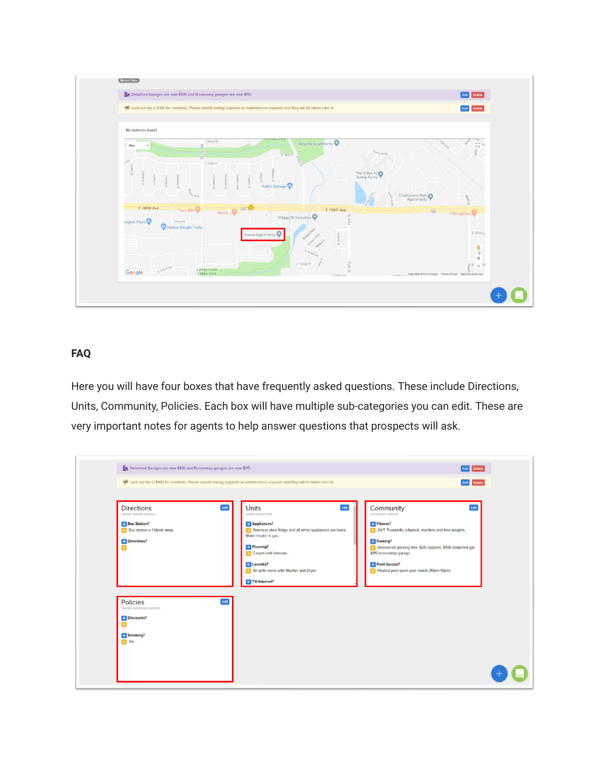

# **FAQ**

Here you will have four boxes that have frequently asked questions. These include Directions, Units, Community, Policies. Each box will have multiple sub-categories you can edit. These are very important notes for agents to help answer questions that prospects will ask.

| <b>Directions</b><br>nearby notable markers<br><b>o</b> Bus Station?<br>Bus station is 1 block away.<br>o Directions?<br>$\mathbf{z}$ | Edit<br><b>Units</b> | Edit<br>details about units<br><b>Q</b> Appliances?<br>Stainless steel fridge and all other appliances are black.<br>Water heater is gas.<br>a Flooring?<br>Carpet and laminate.<br>o Laundry?<br>All units come with Washer and Dryer. | Edit<br>Community<br>community features<br><b>O</b> Fitness?<br>24/7. Treadmills, elliptical, machine and free weights.<br><b>Parking?</b><br>A Uncovered parking free, \$25 carports, \$100 detached gar,<br>\$115 breezeway garage<br>o Pool/Jacuzzi?<br>Heated pool open year round. (10am-10pm) |
|---------------------------------------------------------------------------------------------------------------------------------------|----------------------|-----------------------------------------------------------------------------------------------------------------------------------------------------------------------------------------------------------------------------------------|-----------------------------------------------------------------------------------------------------------------------------------------------------------------------------------------------------------------------------------------------------------------------------------------------------|
| <b>Policies</b><br>special community policies<br>o Discounts?<br>$\mathbf{z}$<br>o Smoking?<br>$\Delta$ Yes                           | Edit                 | o TV/Internet?                                                                                                                                                                                                                          |                                                                                                                                                                                                                                                                                                     |